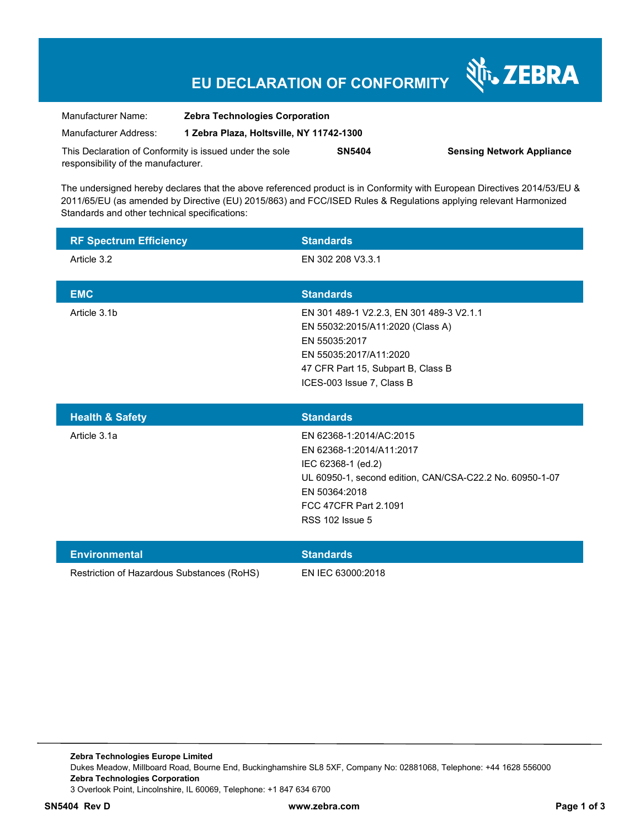# **EU DECLARATION OF CONFORMITY**

Nr. ZEBRA

| Manufacturer Name:                                      | <b>Zebra Technologies Corporation</b><br>1 Zebra Plaza, Holtsville, NY 11742-1300 |               |                                  |
|---------------------------------------------------------|-----------------------------------------------------------------------------------|---------------|----------------------------------|
| Manufacturer Address:                                   |                                                                                   |               |                                  |
| This Declaration of Conformity is issued under the sole |                                                                                   | <b>SN5404</b> | <b>Sensing Network Appliance</b> |
| responsibility of the manufacturer.                     |                                                                                   |               |                                  |

The undersigned hereby declares that the above referenced product is in Conformity with European Directives 2014/53/EU & 2011/65/EU (as amended by Directive (EU) 2015/863) and FCC/ISED Rules & Regulations applying relevant Harmonized Standards and other technical specifications:

| <b>RF Spectrum Efficiency</b>  | <b>Standards</b>                                                                                                                                                                           |
|--------------------------------|--------------------------------------------------------------------------------------------------------------------------------------------------------------------------------------------|
| Article 3.2                    | EN 302 208 V3.3.1                                                                                                                                                                          |
| <b>EMC</b>                     | <b>Standards</b>                                                                                                                                                                           |
| Article 3.1b                   | EN 301 489-1 V2.2.3, EN 301 489-3 V2.1.1<br>EN 55032:2015/A11:2020 (Class A)<br>EN 55035:2017<br>EN 55035:2017/A11:2020<br>47 CFR Part 15, Subpart B, Class B<br>ICES-003 Issue 7, Class B |
| $H \cap H$ $\Omega$ $R \cap H$ | <b>Ctondorde</b>                                                                                                                                                                           |

| <b>Health &amp; Safety</b> | <b>Standards</b>                                         |
|----------------------------|----------------------------------------------------------|
| Article 3.1a               | EN 62368-1:2014/AC:2015                                  |
|                            | EN 62368-1:2014/A11:2017                                 |
|                            | IEC 62368-1 (ed.2)                                       |
|                            | UL 60950-1, second edition, CAN/CSA-C22.2 No. 60950-1-07 |
|                            | EN 50364:2018                                            |
|                            | FCC 47CFR Part 2.1091                                    |
|                            | <b>RSS 102 Issue 5</b>                                   |
|                            |                                                          |

| Environmental                              | <b>Standards</b>  |
|--------------------------------------------|-------------------|
| Restriction of Hazardous Substances (RoHS) | EN IEC 63000:2018 |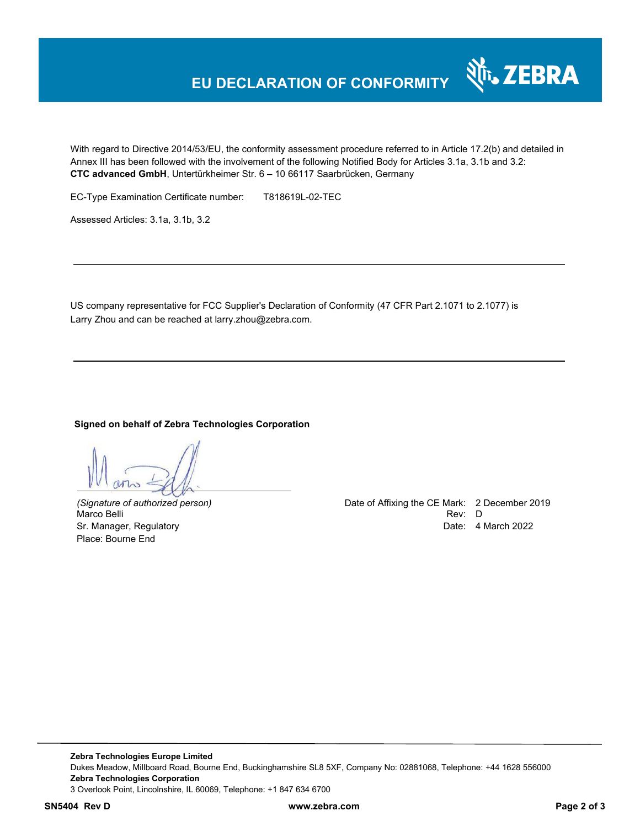## **EU DECLARATION OF CONFORMITY**

With regard to Directive 2014/53/EU, the conformity assessment procedure referred to in Article 17.2(b) and detailed in Annex III has been followed with the involvement of the following Notified Body for Articles 3.1a, 3.1b and 3.2: **CTC advanced GmbH**, Untertürkheimer Str. 6 – 10 66117 Saarbrücken, Germany

EC-Type Examination Certificate number: T818619L-02-TEC

Assessed Articles: 3.1a, 3.1b, 3.2

US company representative for FCC Supplier's Declaration of Conformity (47 CFR Part 2.1071 to 2.1077) is Larry Zhou and can be reached at larry.zhou@zebra.com.

#### **Signed on behalf of Zebra Technologies Corporation**

Place: Bourne End

*(Signature of authorized person)* Date of Affixing the CE Mark: 2 December 2019 Marco Belli Rev: D Sr. Manager, Regulatory Date: 4 March 2022

र्शे<sub>ं</sub> ZEBRA